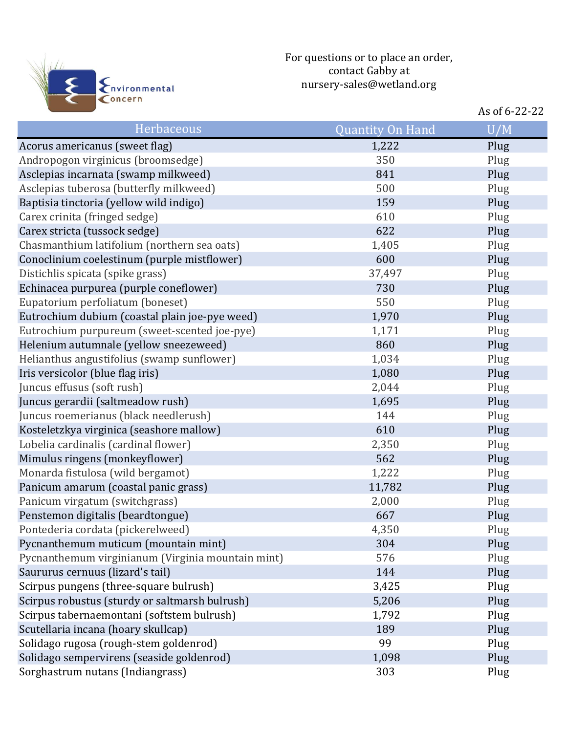

|                                                   |                         | As of 6-22-22 |
|---------------------------------------------------|-------------------------|---------------|
| Herbaceous                                        | <b>Quantity On Hand</b> | U/M           |
| Acorus americanus (sweet flag)                    | 1,222                   | Plug          |
| Andropogon virginicus (broomsedge)                | 350                     | Plug          |
| Asclepias incarnata (swamp milkweed)              | 841                     | Plug          |
| Asclepias tuberosa (butterfly milkweed)           | 500                     | Plug          |
| Baptisia tinctoria (yellow wild indigo)           | 159                     | Plug          |
| Carex crinita (fringed sedge)                     | 610                     | Plug          |
| Carex stricta (tussock sedge)                     | 622                     | Plug          |
| Chasmanthium latifolium (northern sea oats)       | 1,405                   | Plug          |
| Conoclinium coelestinum (purple mistflower)       | 600                     | Plug          |
| Distichlis spicata (spike grass)                  | 37,497                  | Plug          |
| Echinacea purpurea (purple coneflower)            | 730                     | Plug          |
| Eupatorium perfoliatum (boneset)                  | 550                     | Plug          |
| Eutrochium dubium (coastal plain joe-pye weed)    | 1,970                   | Plug          |
| Eutrochium purpureum (sweet-scented joe-pye)      | 1,171                   | Plug          |
| Helenium autumnale (yellow sneezeweed)            | 860                     | Plug          |
| Helianthus angustifolius (swamp sunflower)        | 1,034                   | Plug          |
| Iris versicolor (blue flag iris)                  | 1,080                   | Plug          |
| Juncus effusus (soft rush)                        | 2,044                   | Plug          |
| Juncus gerardii (saltmeadow rush)                 | 1,695                   | Plug          |
| Juncus roemerianus (black needlerush)             | 144                     | Plug          |
| Kosteletzkya virginica (seashore mallow)          | 610                     | Plug          |
| Lobelia cardinalis (cardinal flower)              | 2,350                   | Plug          |
| Mimulus ringens (monkeyflower)                    | 562                     | Plug          |
| Monarda fistulosa (wild bergamot)                 | 1,222                   | Plug          |
| Panicum amarum (coastal panic grass)              | 11,782                  | Plug          |
| Panicum virgatum (switchgrass)                    | 2,000                   | Plug          |
| Penstemon digitalis (beardtongue)                 | 667                     | Plug          |
| Pontederia cordata (pickerelweed)                 | 4,350                   | Plug          |
| Pycnanthemum muticum (mountain mint)              | 304                     | Plug          |
| Pycnanthemum virginianum (Virginia mountain mint) | 576                     | Plug          |
| Saururus cernuus (lizard's tail)                  | 144                     | Plug          |
| Scirpus pungens (three-square bulrush)            | 3,425                   | Plug          |
| Scirpus robustus (sturdy or saltmarsh bulrush)    | 5,206                   | Plug          |
| Scirpus tabernaemontani (softstem bulrush)        | 1,792                   | Plug          |
| Scutellaria incana (hoary skullcap)               | 189                     | Plug          |
| Solidago rugosa (rough-stem goldenrod)            | 99                      | Plug          |
| Solidago sempervirens (seaside goldenrod)         | 1,098                   | Plug          |
| Sorghastrum nutans (Indiangrass)                  | 303                     | Plug          |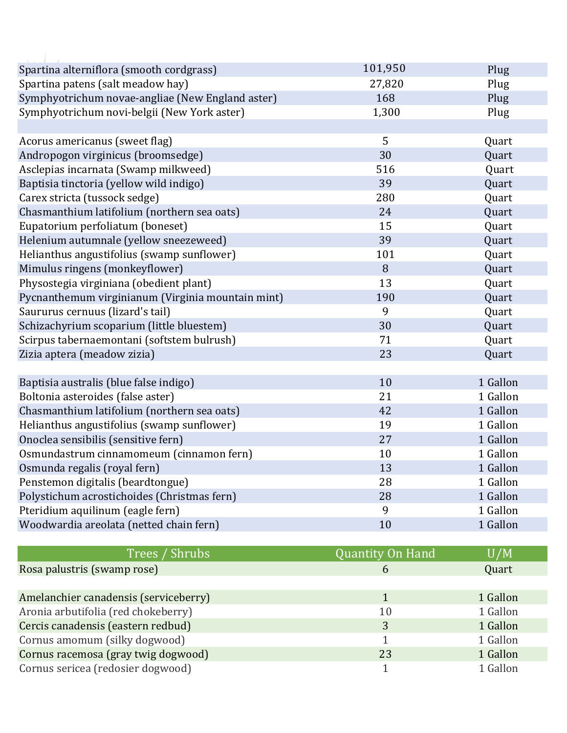| Spartina alterniflora (smooth cordgrass)          | 101,950                 | Plug     |
|---------------------------------------------------|-------------------------|----------|
| Spartina patens (salt meadow hay)                 | 27,820                  | Plug     |
| Symphyotrichum novae-angliae (New England aster)  | 168                     | Plug     |
| Symphyotrichum novi-belgii (New York aster)       | 1,300                   | Plug     |
|                                                   |                         |          |
| Acorus americanus (sweet flag)                    | 5                       | Quart    |
| Andropogon virginicus (broomsedge)                | 30                      | Quart    |
| Asclepias incarnata (Swamp milkweed)              | 516                     | Quart    |
| Baptisia tinctoria (yellow wild indigo)           | 39                      | Quart    |
| Carex stricta (tussock sedge)                     | 280                     | Quart    |
| Chasmanthium latifolium (northern sea oats)       | 24                      | Quart    |
| Eupatorium perfoliatum (boneset)                  | 15                      | Quart    |
| Helenium autumnale (yellow sneezeweed)            | 39                      | Quart    |
| Helianthus angustifolius (swamp sunflower)        | 101                     | Quart    |
| Mimulus ringens (monkeyflower)                    | 8                       | Quart    |
| Physostegia virginiana (obedient plant)           | 13                      | Quart    |
| Pycnanthemum virginianum (Virginia mountain mint) | 190                     | Quart    |
| Saururus cernuus (lizard's tail)                  | 9                       | Quart    |
| Schizachyrium scoparium (little bluestem)         | 30                      | Quart    |
| Scirpus tabernaemontani (softstem bulrush)        | 71                      | Quart    |
| Zizia aptera (meadow zizia)                       | 23                      | Quart    |
|                                                   |                         |          |
| Baptisia australis (blue false indigo)            | 10                      | 1 Gallon |
| Boltonia asteroides (false aster)                 | 21                      | 1 Gallon |
| Chasmanthium latifolium (northern sea oats)       | 42                      | 1 Gallon |
| Helianthus angustifolius (swamp sunflower)        | 19                      | 1 Gallon |
| Onoclea sensibilis (sensitive fern)               | 27                      | 1 Gallon |
| Osmundastrum cinnamomeum (cinnamon fern)          | 10                      | 1 Gallon |
| Osmunda regalis (royal fern)                      | 13                      | 1 Gallon |
| Penstemon digitalis (beardtongue)                 | 28                      | 1 Gallon |
| Polystichum acrostichoides (Christmas fern)       | 28                      | 1 Gallon |
| Pteridium aquilinum (eagle fern)                  | 9                       | 1 Gallon |
| Woodwardia areolata (netted chain fern)           | 10                      | 1 Gallon |
|                                                   |                         |          |
| Trees / Shrubs                                    | <b>Quantity On Hand</b> | U/M      |
| Rosa palustris (swamp rose)                       | 6                       | Quart    |

Amelanchier canadensis (serviceberry) 1 1 1 1 Gallon 1 1 Gallon Aronia arbutifolia (red chokeberry) 10 1 Gallon Cercis canadensis (eastern redbud) 3 1 Gallon Cornus amomum (silky dogwood) and the state of the state of the state of the state of the state of the state of the state of the state of the state of the state of the state of the state of the state of the state of the st Cornus racemosa (gray twig dogwood) 1 Cornus racemosa (gray twig dogwood) 23 1 Gallon Cornus sericea (redosier dogwood) 1 1 Gallon